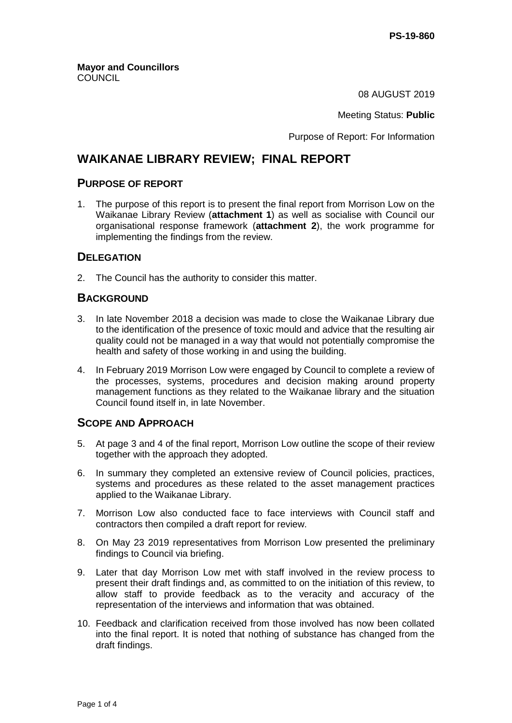08 AUGUST 2019

Meeting Status: **Public**

Purpose of Report: For Information

# **WAIKANAE LIBRARY REVIEW; FINAL REPORT**

#### **PURPOSE OF REPORT**

1. The purpose of this report is to present the final report from Morrison Low on the Waikanae Library Review (**attachment 1**) as well as socialise with Council our organisational response framework (**attachment 2**), the work programme for implementing the findings from the review.

#### **DELEGATION**

2. The Council has the authority to consider this matter.

## **BACKGROUND**

- 3. In late November 2018 a decision was made to close the Waikanae Library due to the identification of the presence of toxic mould and advice that the resulting air quality could not be managed in a way that would not potentially compromise the health and safety of those working in and using the building.
- 4. In February 2019 Morrison Low were engaged by Council to complete a review of the processes, systems, procedures and decision making around property management functions as they related to the Waikanae library and the situation Council found itself in, in late November.

## **SCOPE AND APPROACH**

- 5. At page 3 and 4 of the final report, Morrison Low outline the scope of their review together with the approach they adopted.
- 6. In summary they completed an extensive review of Council policies, practices, systems and procedures as these related to the asset management practices applied to the Waikanae Library.
- 7. Morrison Low also conducted face to face interviews with Council staff and contractors then compiled a draft report for review.
- 8. On May 23 2019 representatives from Morrison Low presented the preliminary findings to Council via briefing.
- 9. Later that day Morrison Low met with staff involved in the review process to present their draft findings and, as committed to on the initiation of this review, to allow staff to provide feedback as to the veracity and accuracy of the representation of the interviews and information that was obtained.
- 10. Feedback and clarification received from those involved has now been collated into the final report. It is noted that nothing of substance has changed from the draft findings.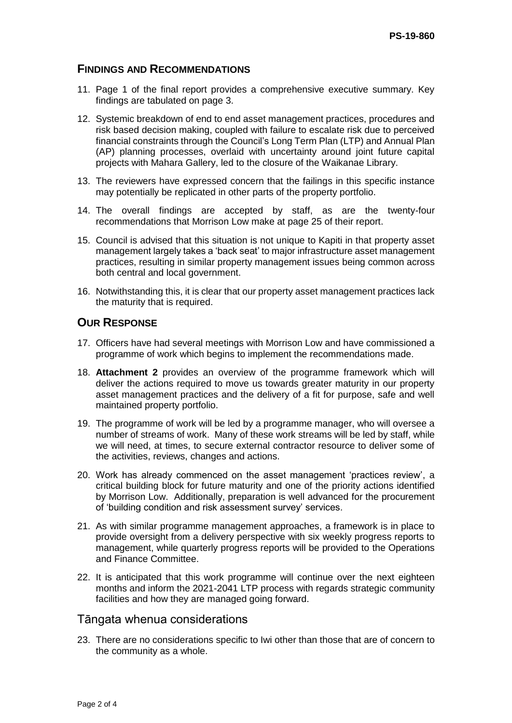## **FINDINGS AND RECOMMENDATIONS**

- 11. Page 1 of the final report provides a comprehensive executive summary. Key findings are tabulated on page 3.
- 12. Systemic breakdown of end to end asset management practices, procedures and risk based decision making, coupled with failure to escalate risk due to perceived financial constraints through the Council's Long Term Plan (LTP) and Annual Plan (AP) planning processes, overlaid with uncertainty around joint future capital projects with Mahara Gallery, led to the closure of the Waikanae Library.
- 13. The reviewers have expressed concern that the failings in this specific instance may potentially be replicated in other parts of the property portfolio.
- 14. The overall findings are accepted by staff, as are the twenty-four recommendations that Morrison Low make at page 25 of their report.
- 15. Council is advised that this situation is not unique to Kapiti in that property asset management largely takes a 'back seat' to major infrastructure asset management practices, resulting in similar property management issues being common across both central and local government.
- 16. Notwithstanding this, it is clear that our property asset management practices lack the maturity that is required.

## **OUR RESPONSE**

- 17. Officers have had several meetings with Morrison Low and have commissioned a programme of work which begins to implement the recommendations made.
- 18. **Attachment 2** provides an overview of the programme framework which will deliver the actions required to move us towards greater maturity in our property asset management practices and the delivery of a fit for purpose, safe and well maintained property portfolio.
- 19. The programme of work will be led by a programme manager, who will oversee a number of streams of work. Many of these work streams will be led by staff, while we will need, at times, to secure external contractor resource to deliver some of the activities, reviews, changes and actions.
- 20. Work has already commenced on the asset management 'practices review', a critical building block for future maturity and one of the priority actions identified by Morrison Low. Additionally, preparation is well advanced for the procurement of 'building condition and risk assessment survey' services.
- 21. As with similar programme management approaches, a framework is in place to provide oversight from a delivery perspective with six weekly progress reports to management, while quarterly progress reports will be provided to the Operations and Finance Committee.
- 22. It is anticipated that this work programme will continue over the next eighteen months and inform the 2021-2041 LTP process with regards strategic community facilities and how they are managed going forward.

## Tāngata whenua considerations

23. There are no considerations specific to Iwi other than those that are of concern to the community as a whole.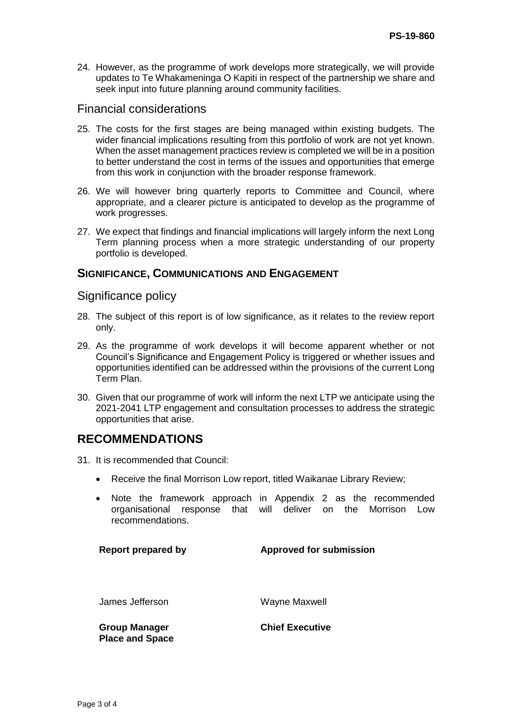24. However, as the programme of work develops more strategically, we will provide updates to Te Whakameninga O Kapiti in respect of the partnership we share and seek input into future planning around community facilities.

## Financial considerations

- 25. The costs for the first stages are being managed within existing budgets. The wider financial implications resulting from this portfolio of work are not yet known. When the asset management practices review is completed we will be in a position to better understand the cost in terms of the issues and opportunities that emerge from this work in conjunction with the broader response framework.
- 26. We will however bring quarterly reports to Committee and Council, where appropriate, and a clearer picture is anticipated to develop as the programme of work progresses.
- 27. We expect that findings and financial implications will largely inform the next Long Term planning process when a more strategic understanding of our property portfolio is developed.

#### **SIGNIFICANCE, COMMUNICATIONS AND ENGAGEMENT**

#### Significance policy

- 28. The subject of this report is of low significance, as it relates to the review report only.
- 29. As the programme of work develops it will become apparent whether or not Council's Significance and Engagement Policy is triggered or whether issues and opportunities identified can be addressed within the provisions of the current Long Term Plan.
- 30. Given that our programme of work will inform the next LTP we anticipate using the 2021-2041 LTP engagement and consultation processes to address the strategic opportunities that arise.

## **RECOMMENDATIONS**

- 31. It is recommended that Council:
	- Receive the final Morrison Low report, titled Waikanae Library Review;
	- Note the framework approach in Appendix 2 as the recommended organisational response that will deliver on the Morrison Low recommendations.

#### **Report prepared by Approved for submission**

James Jefferson Wayne Maxwell

**Group Manager Place and Space** **Chief Executive**